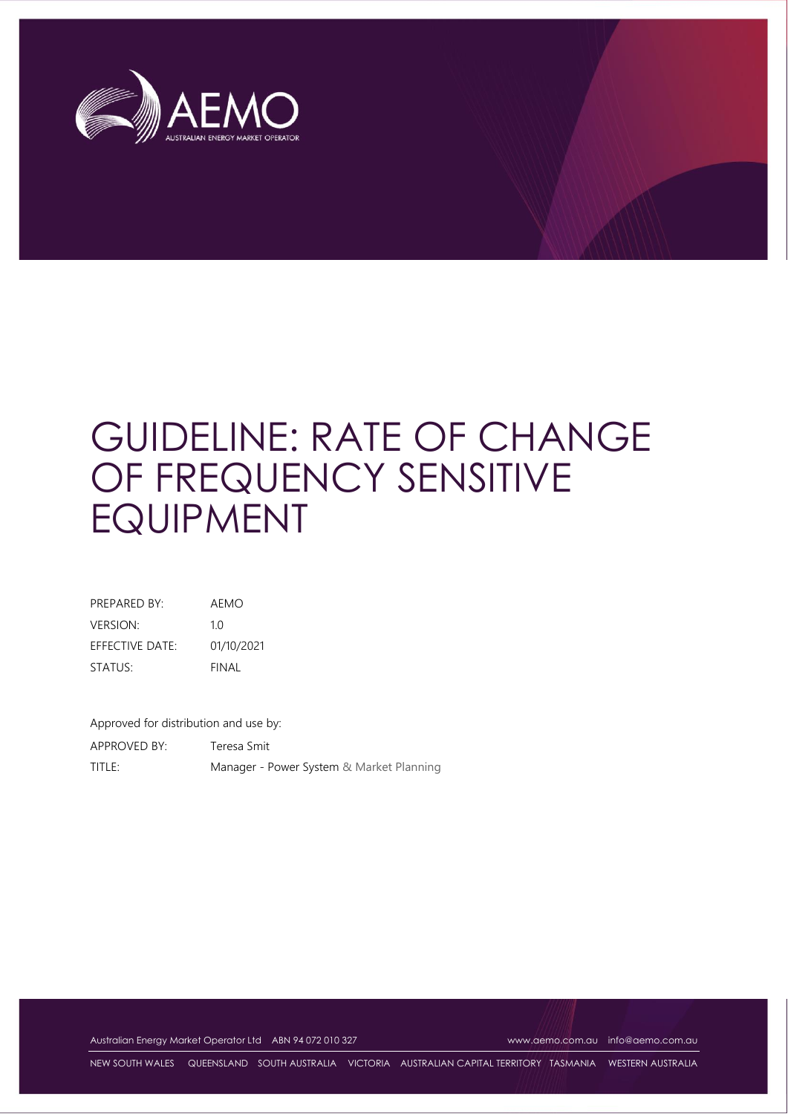

# GUIDELINE: RATE OF CHANGE OF FREQUENCY SENSITIVE EQUIPMENT

| PRFPARFD BY:           | AFMO       |
|------------------------|------------|
| <b>VERSION:</b>        | 10         |
| <b>FFFECTIVE DATE:</b> | 01/10/2021 |
| STATUS:                | FINAL      |

Approved for distribution and use by: APPROVED BY: Teresa Smit TITLE: Manager - Power System & Market Planning

Australian Energy Market Operator Ltd ABN 94 072 010 327 [www.aemo.com.au](http://www.aemo.com.au/) [info@aemo.com.au](mailto:info@aemo.com.au)

NEW SOUTH WALES QUEENSLAND SOUTH AUSTRALIA VICTORIA AUSTRALIAN CAPITAL TERRITORY TASMANIA WESTERN AUSTRALIA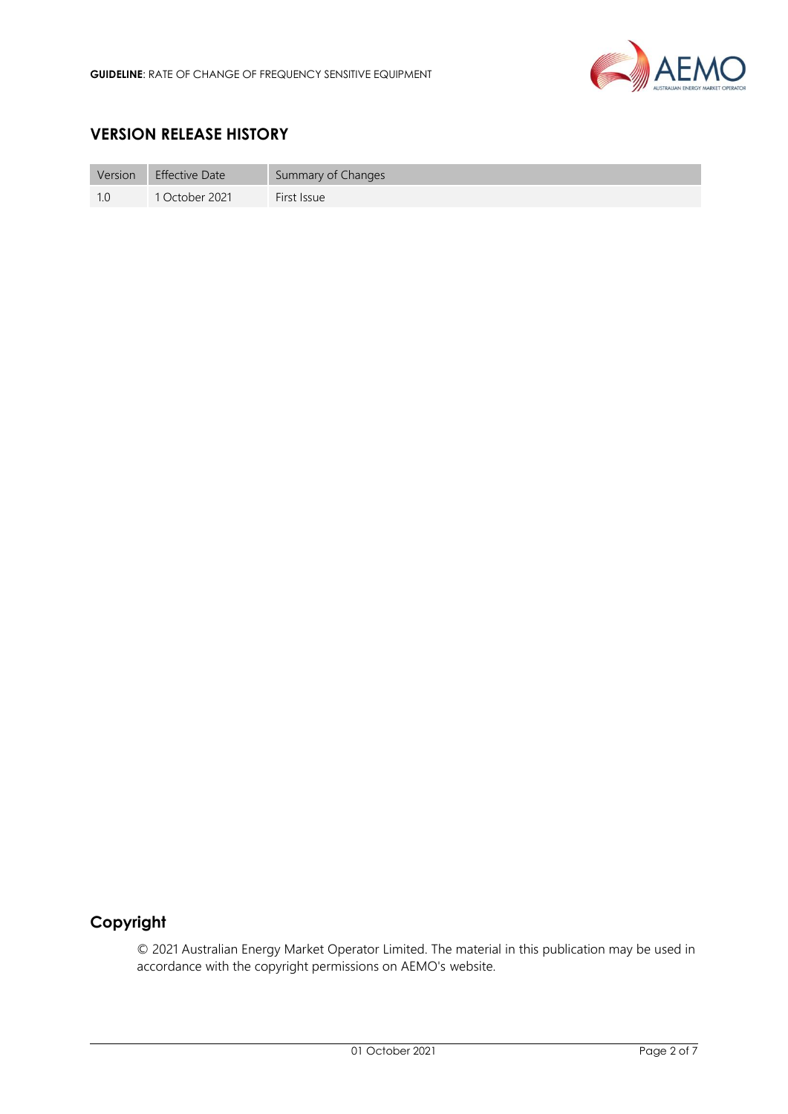

# **VERSION RELEASE HISTORY**

| Version | Effective Date | Summary of Changes |
|---------|----------------|--------------------|
| -1.0    | 1 October 2021 | First Issue        |

# **Copyright**

© 2021 Australian Energy Market Operator Limited. The material in this publication may be used in accordance with the copyright permissions on AEMO's website.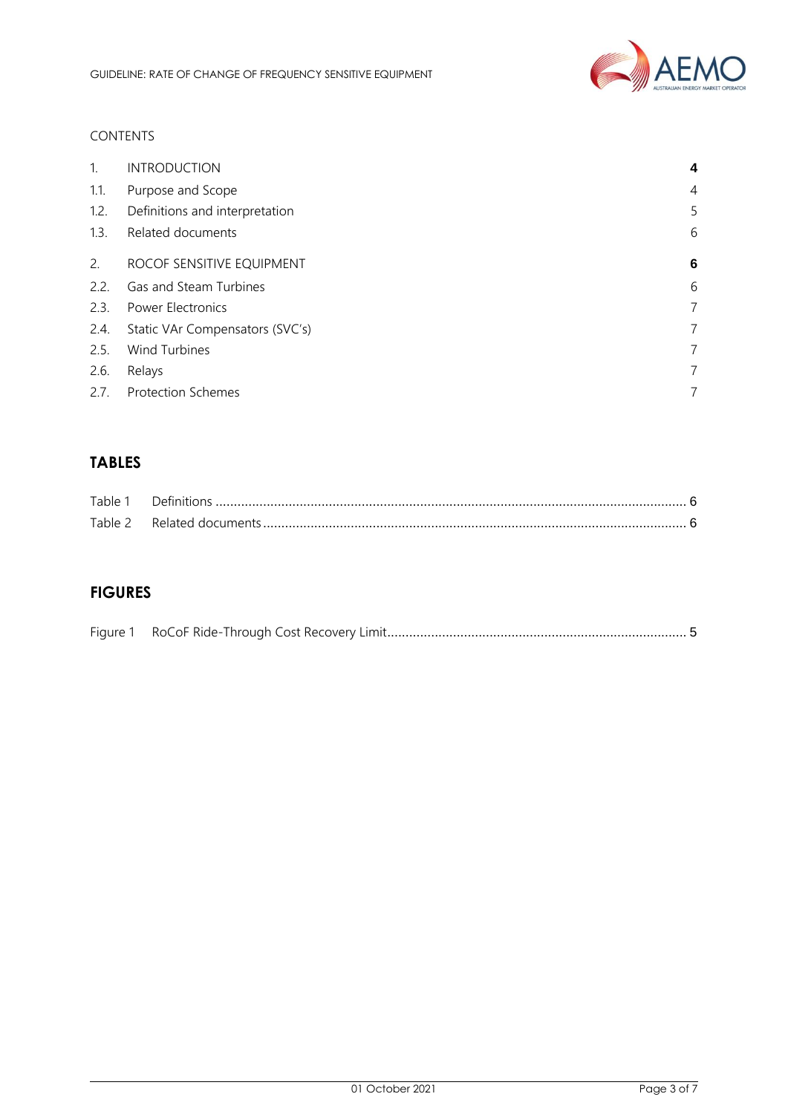

## CONTENTS

| $1_{\cdot}$ | <b>INTRODUCTION</b>             | 4 |
|-------------|---------------------------------|---|
| 1.1.        | Purpose and Scope               | 4 |
| 1.2.        | Definitions and interpretation  | 5 |
| 1.3.        | Related documents               | 6 |
| 2.          | ROCOF SENSITIVE EQUIPMENT       | 6 |
| 2.2.        | Gas and Steam Turbines          | 6 |
| 2.3.        | <b>Power Electronics</b>        | 7 |
| 2.4.        | Static VAr Compensators (SVC's) | 7 |
| 2.5.        | <b>Wind Turbines</b>            | 7 |
| 2.6.        | Relays                          | 7 |
| 2.7.        | <b>Protection Schemes</b>       | 7 |

# **TABLES**

| Table 1 |  |
|---------|--|
|         |  |

# **FIGURES**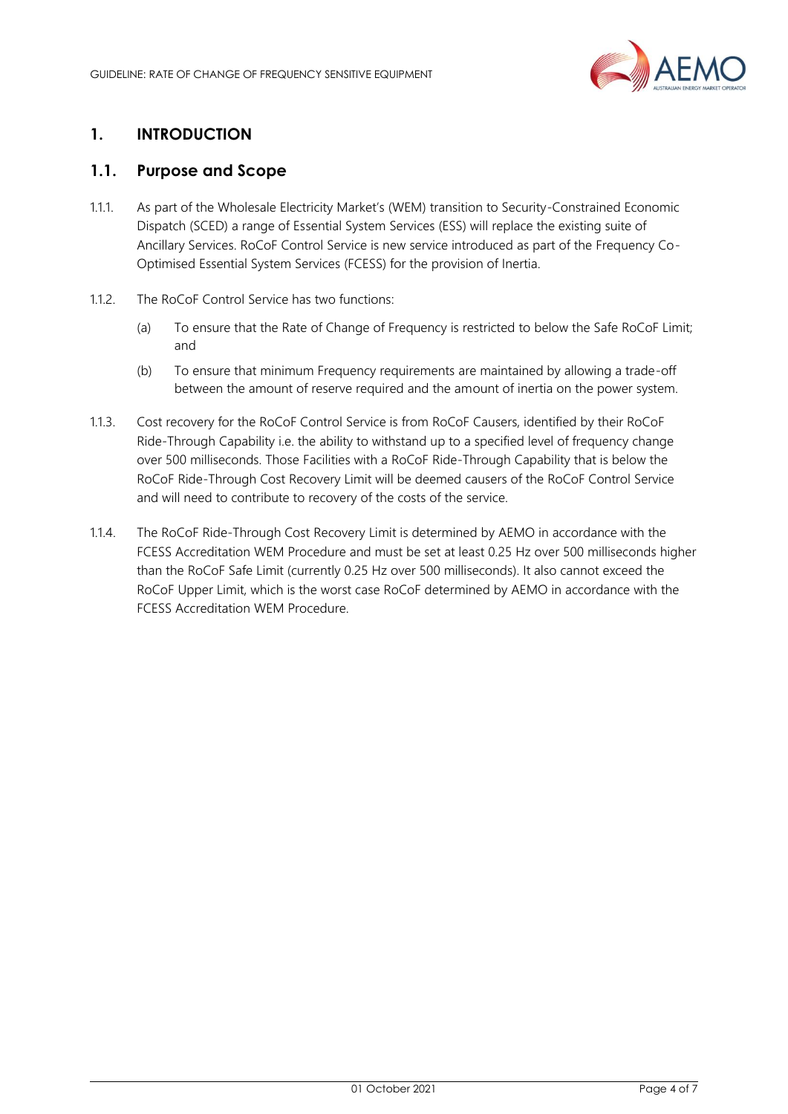

# <span id="page-3-0"></span>**1. INTRODUCTION**

## <span id="page-3-1"></span>**1.1. Purpose and Scope**

- 1.1.1. As part of the Wholesale Electricity Market's (WEM) transition to Security-Constrained Economic Dispatch (SCED) a range of Essential System Services (ESS) will replace the existing suite of Ancillary Services. RoCoF Control Service is new service introduced as part of the Frequency Co-Optimised Essential System Services (FCESS) for the provision of Inertia.
- 1.1.2. The RoCoF Control Service has two functions:
	- (a) To ensure that the Rate of Change of Frequency is restricted to below the Safe RoCoF Limit; and
	- (b) To ensure that minimum Frequency requirements are maintained by allowing a trade-off between the amount of reserve required and the amount of inertia on the power system.
- 1.1.3. Cost recovery for the RoCoF Control Service is from RoCoF Causers, identified by their RoCoF Ride-Through Capability i.e. the ability to withstand up to a specified level of frequency change over 500 milliseconds. Those Facilities with a RoCoF Ride-Through Capability that is below the RoCoF Ride-Through Cost Recovery Limit will be deemed causers of the RoCoF Control Service and will need to contribute to recovery of the costs of the service.
- 1.1.4. The RoCoF Ride-Through Cost Recovery Limit is determined by AEMO in accordance with the FCESS Accreditation WEM Procedure and must be set at least 0.25 Hz over 500 milliseconds higher than the RoCoF Safe Limit (currently 0.25 Hz over 500 milliseconds). It also cannot exceed the RoCoF Upper Limit, which is the worst case RoCoF determined by AEMO in accordance with the FCESS Accreditation WEM Procedure.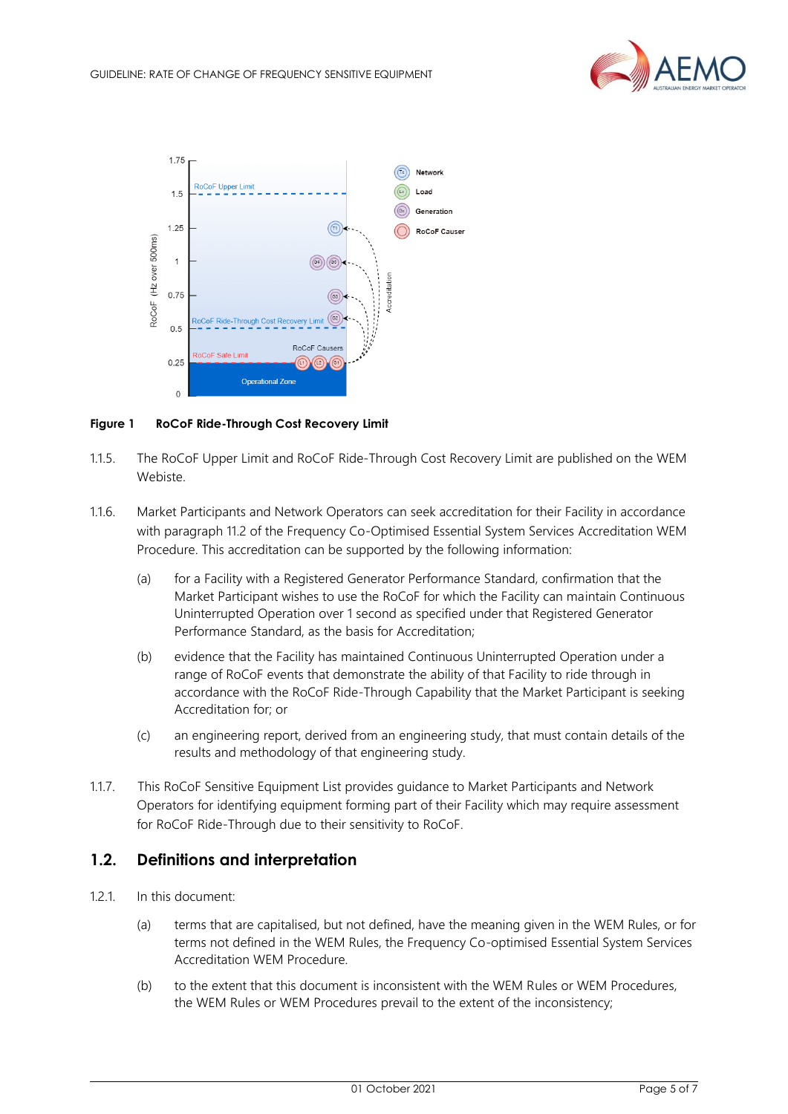



#### <span id="page-4-1"></span>**Figure 1 RoCoF Ride-Through Cost Recovery Limit**

- 1.1.5. The RoCoF Upper Limit and RoCoF Ride-Through Cost Recovery Limit are published on the WEM Webiste.
- 1.1.6. Market Participants and Network Operators can seek accreditation for their Facility in accordance with paragraph 11.2 of the Frequency Co-Optimised Essential System Services Accreditation WEM Procedure. This accreditation can be supported by the following information:
	- (a) for a Facility with a Registered Generator Performance Standard, confirmation that the Market Participant wishes to use the RoCoF for which the Facility can maintain Continuous Uninterrupted Operation over 1 second as specified under that Registered Generator Performance Standard, as the basis for Accreditation;
	- (b) evidence that the Facility has maintained Continuous Uninterrupted Operation under a range of RoCoF events that demonstrate the ability of that Facility to ride through in accordance with the RoCoF Ride-Through Capability that the Market Participant is seeking Accreditation for; or
	- (c) an engineering report, derived from an engineering study, that must contain details of the results and methodology of that engineering study.
- 1.1.7. This RoCoF Sensitive Equipment List provides guidance to Market Participants and Network Operators for identifying equipment forming part of their Facility which may require assessment for RoCoF Ride-Through due to their sensitivity to RoCoF.

## <span id="page-4-0"></span>**1.2. Definitions and interpretation**

- 1.2.1. In this document:
	- (a) terms that are capitalised, but not defined, have the meaning given in the WEM Rules, or for terms not defined in the WEM Rules, the Frequency Co-optimised Essential System Services Accreditation WEM Procedure.
	- (b) to the extent that this document is inconsistent with the WEM Rules or WEM Procedures, the WEM Rules or WEM Procedures prevail to the extent of the inconsistency;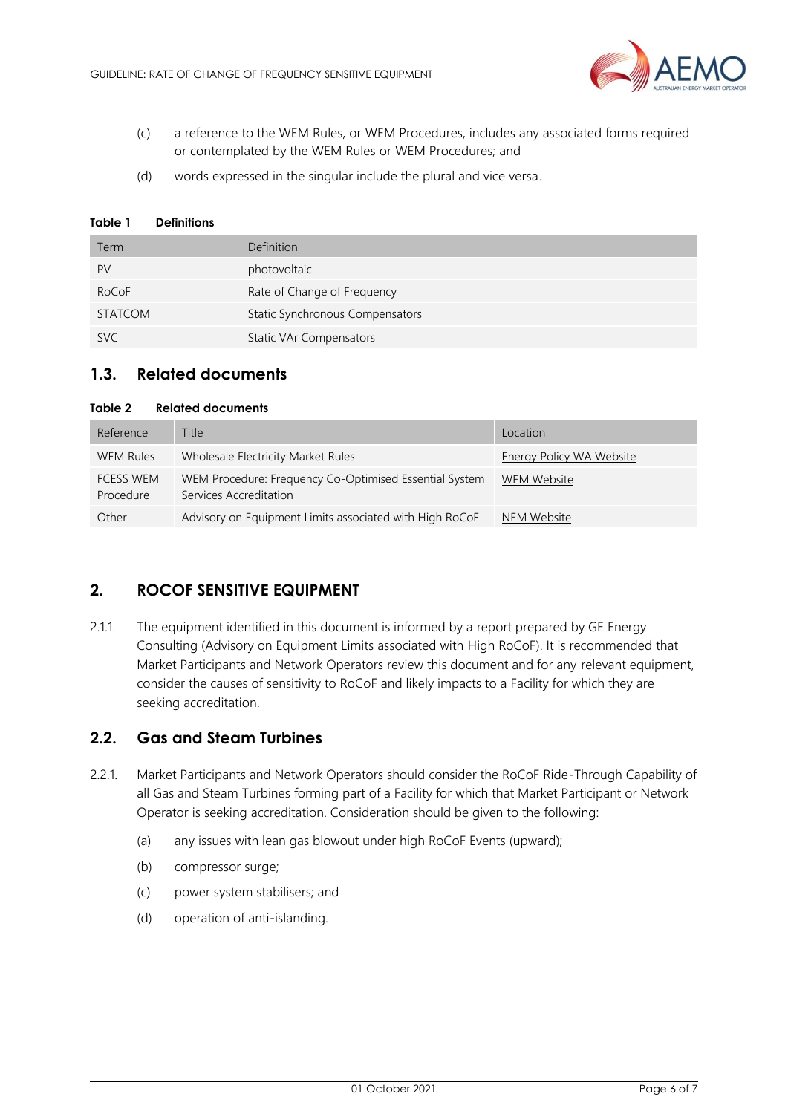

- (c) a reference to the WEM Rules, or WEM Procedures, includes any associated forms required or contemplated by the WEM Rules or WEM Procedures; and
- (d) words expressed in the singular include the plural and vice versa.

#### <span id="page-5-3"></span>**Table 1 Definitions**

| Term           | Definition                      |
|----------------|---------------------------------|
| PV             | photovoltaic                    |
| RoCoF          | Rate of Change of Frequency     |
| <b>STATCOM</b> | Static Synchronous Compensators |
| <b>SVC</b>     | <b>Static VAr Compensators</b>  |

# <span id="page-5-0"></span>**1.3. Related documents**

#### <span id="page-5-4"></span>**Table 2 Related documents**

| Reference                     | Title                                                                            | Location                        |
|-------------------------------|----------------------------------------------------------------------------------|---------------------------------|
| <b>WEM Rules</b>              | Wholesale Electricity Market Rules                                               | <b>Energy Policy WA Website</b> |
| <b>FCESS WEM</b><br>Procedure | WEM Procedure: Frequency Co-Optimised Essential System<br>Services Accreditation | WEM Website                     |
| Other                         | Advisory on Equipment Limits associated with High RoCoF                          | NEM Website                     |

## <span id="page-5-1"></span>**2. ROCOF SENSITIVE EQUIPMENT**

2.1.1. The equipment identified in this document is informed by a report prepared by GE Energy Consulting (Advisory on Equipment Limits associated with High RoCoF). It is recommended that Market Participants and Network Operators review this document and for any relevant equipment, consider the causes of sensitivity to RoCoF and likely impacts to a Facility for which they are seeking accreditation.

## <span id="page-5-2"></span>**2.2. Gas and Steam Turbines**

- 2.2.1. Market Participants and Network Operators should consider the RoCoF Ride-Through Capability of all Gas and Steam Turbines forming part of a Facility for which that Market Participant or Network Operator is seeking accreditation. Consideration should be given to the following:
	- (a) any issues with lean gas blowout under high RoCoF Events (upward);
	- (b) compressor surge;
	- (c) power system stabilisers; and
	- (d) operation of anti-islanding.